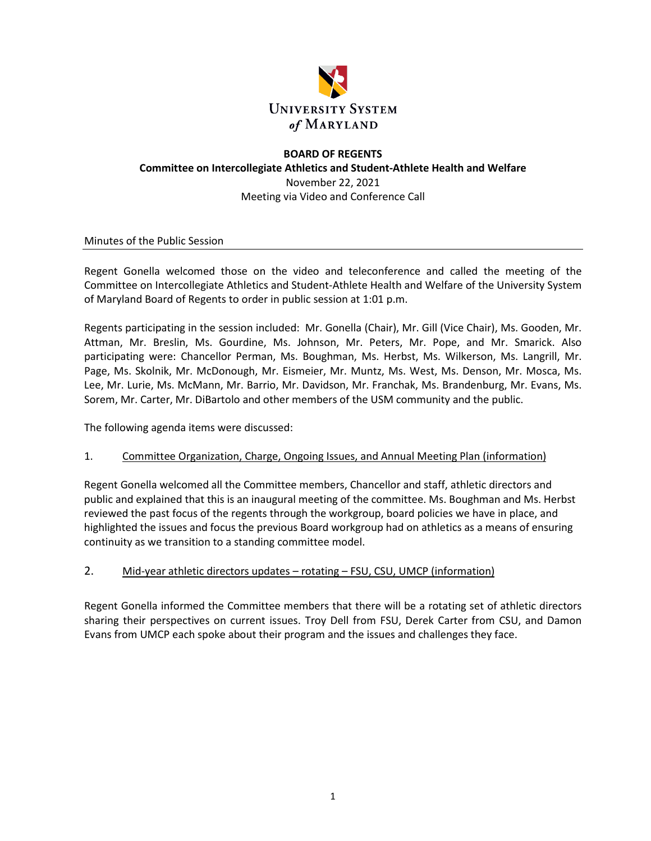

## **BOARD OF REGENTS Committee on Intercollegiate Athletics and Student-Athlete Health and Welfare** November 22, 2021 Meeting via Video and Conference Call

Minutes of the Public Session

Regent Gonella welcomed those on the video and teleconference and called the meeting of the Committee on Intercollegiate Athletics and Student-Athlete Health and Welfare of the University System of Maryland Board of Regents to order in public session at 1:01 p.m.

Regents participating in the session included: Mr. Gonella (Chair), Mr. Gill (Vice Chair), Ms. Gooden, Mr. Attman, Mr. Breslin, Ms. Gourdine, Ms. Johnson, Mr. Peters, Mr. Pope, and Mr. Smarick. Also participating were: Chancellor Perman, Ms. Boughman, Ms. Herbst, Ms. Wilkerson, Ms. Langrill, Mr. Page, Ms. Skolnik, Mr. McDonough, Mr. Eismeier, Mr. Muntz, Ms. West, Ms. Denson, Mr. Mosca, Ms. Lee, Mr. Lurie, Ms. McMann, Mr. Barrio, Mr. Davidson, Mr. Franchak, Ms. Brandenburg, Mr. Evans, Ms. Sorem, Mr. Carter, Mr. DiBartolo and other members of the USM community and the public.

The following agenda items were discussed:

## 1. Committee Organization, Charge, Ongoing Issues, and Annual Meeting Plan (information)

Regent Gonella welcomed all the Committee members, Chancellor and staff, athletic directors and public and explained that this is an inaugural meeting of the committee. Ms. Boughman and Ms. Herbst reviewed the past focus of the regents through the workgroup, board policies we have in place, and highlighted the issues and focus the previous Board workgroup had on athletics as a means of ensuring continuity as we transition to a standing committee model.

## 2. Mid-year athletic directors updates – rotating – FSU, CSU, UMCP (information)

Regent Gonella informed the Committee members that there will be a rotating set of athletic directors sharing their perspectives on current issues. Troy Dell from FSU, Derek Carter from CSU, and Damon Evans from UMCP each spoke about their program and the issues and challenges they face.